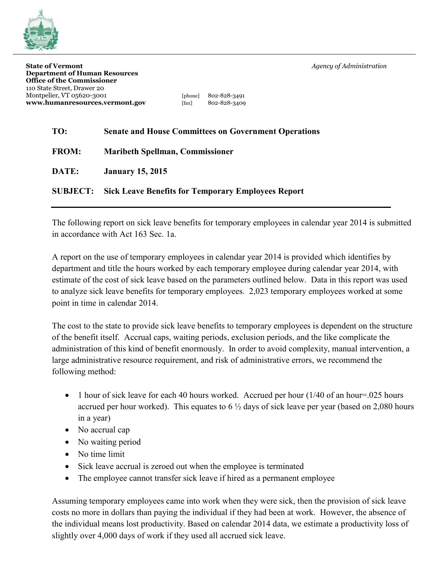

| [phone] | 802-828-3491 |
|---------|--------------|
| [fax]   | 802-828-3409 |

## **TO: Senate and House Committees on Government Operations**

| <b>FROM:</b> |  |  | <b>Maribeth Spellman, Commissioner</b> |
|--------------|--|--|----------------------------------------|
|--------------|--|--|----------------------------------------|

**DATE: January 15, 2015**

## **SUBJECT: Sick Leave Benefits for Temporary Employees Report**

The following report on sick leave benefits for temporary employees in calendar year 2014 is submitted in accordance with Act 163 Sec. 1a.

A report on the use of temporary employees in calendar year 2014 is provided which identifies by department and title the hours worked by each temporary employee during calendar year 2014, with estimate of the cost of sick leave based on the parameters outlined below. Data in this report was used to analyze sick leave benefits for temporary employees. 2,023 temporary employees worked at some point in time in calendar 2014.

The cost to the state to provide sick leave benefits to temporary employees is dependent on the structure of the benefit itself. Accrual caps, waiting periods, exclusion periods, and the like complicate the administration of this kind of benefit enormously. In order to avoid complexity, manual intervention, a large administrative resource requirement, and risk of administrative errors, we recommend the following method:

- 1 hour of sick leave for each 40 hours worked. Accrued per hour  $(1/40)$  of an hour=.025 hours accrued per hour worked). This equates to  $6\frac{1}{2}$  days of sick leave per year (based on 2,080 hours in a year)
- No accrual cap
- No waiting period
- No time limit
- Sick leave accrual is zeroed out when the employee is terminated
- The employee cannot transfer sick leave if hired as a permanent employee

Assuming temporary employees came into work when they were sick, then the provision of sick leave costs no more in dollars than paying the individual if they had been at work. However, the absence of the individual means lost productivity. Based on calendar 2014 data, we estimate a productivity loss of slightly over 4,000 days of work if they used all accrued sick leave.